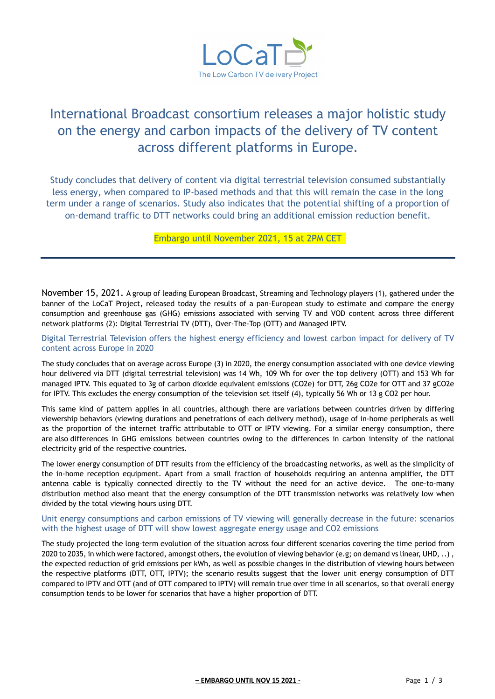

# International Broadcast consortium releases a major holistic study on the energy and carbon impacts of the delivery of TV content across different platforms in Europe.

Study concludes that delivery of content via digital terrestrial television consumed substantially less energy, when compared to IP-based methods and that this will remain the case in the long term under a range of scenarios. Study also indicates that the potential shifting of a proportion of on-demand traffic to DTT networks could bring an additional emission reduction benefit.

Embargo until November 2021, 15 at 2PM CET

November 15, 2021. A group of leading European Broadcast, Streaming and Technology players (1), gathered under the banner of the LoCaT Project, released today the results of a pan-European study to estimate and compare the energy consumption and greenhouse gas (GHG) emissions associated with serving TV and VOD content across three different network platforms (2): Digital Terrestrial TV (DTT), Over-The-Top (OTT) and Managed IPTV.

### Digital Terrestrial Television offers the highest energy efficiency and lowest carbon impact for delivery of TV content across Europe in 2020

The study concludes that on average across Europe (3) in 2020, the energy consumption associated with one device viewing hour delivered via DTT (digital terrestrial television) was 14 Wh, 109 Wh for over the top delivery (OTT) and 153 Wh for managed IPTV. This equated to 3g of carbon dioxide equivalent emissions (CO2e) for DTT, 26g CO2e for OTT and 37 gCO2e for IPTV. This excludes the energy consumption of the television set itself (4), typically 56 Wh or 13 g CO2 per hour.

This same kind of pattern applies in all countries, although there are variations between countries driven by differing viewership behaviors (viewing durations and penetrations of each delivery method), usage of in-home peripherals as well as the proportion of the internet traffic attributable to OTT or IPTV viewing. For a similar energy consumption, there are also differences in GHG emissions between countries owing to the differences in carbon intensity of the national electricity grid of the respective countries.

The lower energy consumption of DTT results from the efficiency of the broadcasting networks, as well as the simplicity of the in-home reception equipment. Apart from a small fraction of households requiring an antenna amplifier, the DTT antenna cable is typically connected directly to the TV without the need for an active device. The one-to-many distribution method also meant that the energy consumption of the DTT transmission networks was relatively low when divided by the total viewing hours using DTT.

#### Unit energy consumptions and carbon emissions of TV viewing will generally decrease in the future: scenarios with the highest usage of DTT will show lowest aggregate energy usage and CO2 emissions

The study projected the long-term evolution of the situation across four different scenarios covering the time period from 2020 to 2035, in which were factored, amongst others, the evolution of viewing behavior (e.g; on demand vs linear, UHD, ..) , the expected reduction of grid emissions per kWh, as well as possible changes in the distribution of viewing hours between the respective platforms (DTT, OTT, IPTV); the scenario results suggest that the lower unit energy consumption of DTT compared to IPTV and OTT (and of OTT compared to IPTV) will remain true over time in all scenarios, so that overall energy consumption tends to be lower for scenarios that have a higher proportion of DTT.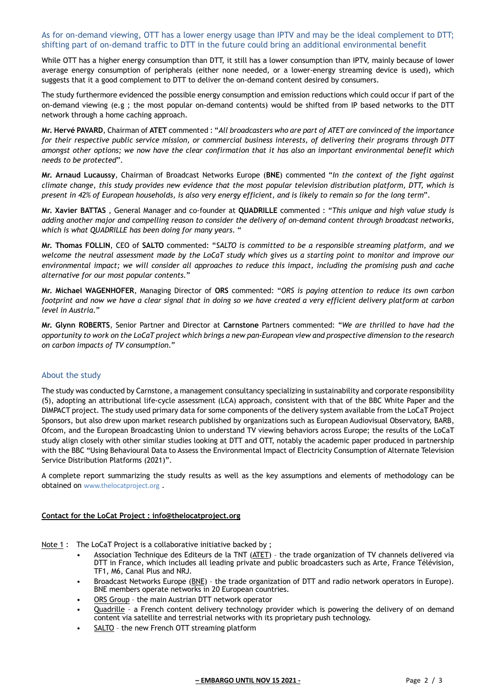#### As for on-demand viewing, OTT has a lower energy usage than IPTV and may be the ideal complement to DTT; shifting part of on-demand traffic to DTT in the future could bring an additional environmental benefit

While OTT has a higher energy consumption than DTT, it still has a lower consumption than IPTV, mainly because of lower average energy consumption of peripherals (either none needed, or a lower-energy streaming device is used), which suggests that it a good complement to DTT to deliver the on-demand content desired by consumers.

The study furthermore evidenced the possible energy consumption and emission reductions which could occur if part of the on-demand viewing (e.g ; the most popular on-demand contents) would be shifted from IP based networks to the DTT network through a home caching approach.

**Mr. Hervé PAVARD**, Chairman of **ATET** commented : "*All broadcasters who are part of ATET are convinced of the importance for their respective public service mission, or commercial business interests, of delivering their programs through DTT amongst other options; we now have the clear confirmation that it has also an important environmental benefit which needs to be protected*".

**Mr. Arnaud Lucaussy**, Chairman of Broadcast Networks Europe (**BNE**) commented "*In the context of the fight against climate change, this study provides new evidence that the most popular television distribution platform, DTT, which is present in 42% of European households, is also very energy efficient, and is likely to remain so for the long term*".

**Mr. Xavier BATTAS** , General Manager and co-founder at **QUADRILLE** commented : "*This unique and high value study is adding another major and compelling reason to consider the delivery of on-demand content through broadcast networks, which is what QUADRILLE has been doing for many years*. "

**Mr. Thomas FOLLIN**, CEO of **SALTO** commented: "*SALTO is committed to be a responsible streaming platform, and we welcome the neutral assessment made by the LoCaT study which gives us a starting point to monitor and improve our environmental impact; we will consider all approaches to reduce this impact, including the promising push and cache alternative for our most popular contents*."

**Mr. Michael WAGENHOFER**, Managing Director of **ORS** commented: "*ORS is paying attention to reduce its own carbon footprint and now we have a clear signal that in doing so we have created a very efficient delivery platform at carbon level in Austria*."

**Mr. Glynn ROBERTS**, Senior Partner and Director at **Carnstone** Partners commented: "*We are thrilled to have had the opportunity to work on the LoCaT project which brings a new pan-European view and prospective dimension to the research on carbon impacts of TV consumption*."

## About the study

The study was conducted by Carnstone, a management consultancy specializing in sustainability and corporate responsibility (5), adopting an attributional life-cycle assessment (LCA) approach, consistent with that of the BBC White Paper and the DIMPACT project. The study used primary data for some components of the delivery system available from the LoCaT Project Sponsors, but also drew upon market research published by organizations such as European Audiovisual Observatory, BARB, Ofcom, and the European Broadcasting Union to understand TV viewing behaviors across Europe; the results of the LoCaT study align closely with other similar studies looking at DTT and OTT, notably the academic paper produced in partnership with the BBC "Using Behavioural Data to Assess the Environmental Impact of Electricity Consumption of Alternate Television Service Distribution Platforms (2021)".

A complete report summarizing the study results as well as the key assumptions and elements of methodology can be obtained on www.thelocatproject.org .

## **Contact for the LoCat Project : info@thelocatproject.org**

Note 1 : The LoCaT Project is a collaborative initiative backed by ;

- Association Technique des Editeurs de la TNT (ATET) the trade organization of TV channels delivered via DTT in France, which includes all leading private and public broadcasters such as Arte, France Télévision, TF1, M6, Canal Plus and NRJ.
- Broadcast Networks Europe (BNE) the trade organization of DTT and radio network operators in Europe). BNE members operate networks in 20 European countries.
- ORS Group the main Austrian DTT network operator
- Quadrille a French content delivery technology provider which is powering the delivery of on demand content via satellite and terrestrial networks with its proprietary push technology.
- SALTO the new French OTT streaming platform